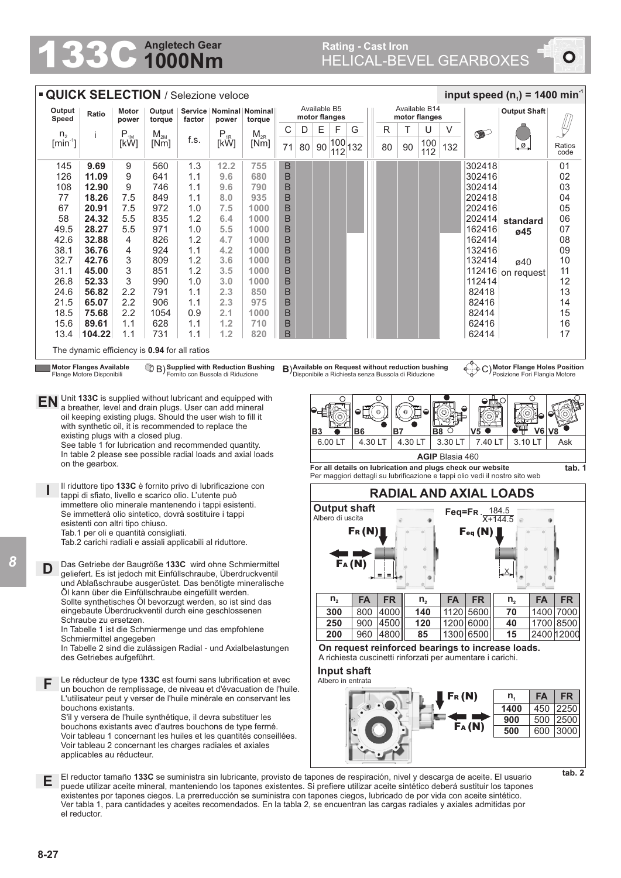## **1000Nm Angletech Gear 133C Angletech Gear** Rating - Cast Iron **Rating - Cast Iron** Rating - Cast Iron **Rating - Cast Iron**

 $\overline{\bullet}$ 

| input speed $(n_1)$ = 1400 min <sup>-1</sup><br><b>QUICK SELECTION / Selezione veloce</b>                                                                                                                                                                                               |                                                                                                                                                                                                                                                                                                                                      |                            |                  |            |                                      |              |        |           |                                                                         |                                                                                                                                                      |                                                       |     |                                |         |                |                        |                                                                                                                                  |                                                                                                                                       |                |  |  |
|-----------------------------------------------------------------------------------------------------------------------------------------------------------------------------------------------------------------------------------------------------------------------------------------|--------------------------------------------------------------------------------------------------------------------------------------------------------------------------------------------------------------------------------------------------------------------------------------------------------------------------------------|----------------------------|------------------|------------|--------------------------------------|--------------|--------|-----------|-------------------------------------------------------------------------|------------------------------------------------------------------------------------------------------------------------------------------------------|-------------------------------------------------------|-----|--------------------------------|---------|----------------|------------------------|----------------------------------------------------------------------------------------------------------------------------------|---------------------------------------------------------------------------------------------------------------------------------------|----------------|--|--|
| Output<br>Ratio<br>Speed                                                                                                                                                                                                                                                                |                                                                                                                                                                                                                                                                                                                                      | Motor<br>power             | Output<br>torque | factor     | Service   Nominal   Nominal<br>power | torque       |        |           | Available B5<br>motor flanges                                           |                                                                                                                                                      |                                                       |     | Available B14<br>motor flanges |         |                |                        |                                                                                                                                  | <b>Output Shaft</b>                                                                                                                   |                |  |  |
| $n_{2}$                                                                                                                                                                                                                                                                                 |                                                                                                                                                                                                                                                                                                                                      | $\mathsf{P}_{\textsc{1M}}$ | $M_{2M}$         |            | $P_{1R}$                             | $M_{2R}$     | С      | D         | E                                                                       | F                                                                                                                                                    | G                                                     |     | R                              |         | U              | V                      | $\bullet$                                                                                                                        |                                                                                                                                       |                |  |  |
| $[min^{-1}]$                                                                                                                                                                                                                                                                            |                                                                                                                                                                                                                                                                                                                                      | [kW]                       | [Nm]             | f.s.       | [kW]                                 | [Nm]         | 71     | 80        | 90                                                                      |                                                                                                                                                      | $\begin{array}{ c c }\n 100 \\ 112\n \end{array}$ 132 |     | 80                             | 90      | 100<br>112     | 132                    |                                                                                                                                  | ø.                                                                                                                                    | Ratios<br>code |  |  |
| 145                                                                                                                                                                                                                                                                                     | 9.69                                                                                                                                                                                                                                                                                                                                 | 9                          | 560              | 1.3        | 12.2                                 | 755          | B      |           |                                                                         |                                                                                                                                                      |                                                       |     |                                |         |                |                        | 302418                                                                                                                           |                                                                                                                                       | 01             |  |  |
| 126                                                                                                                                                                                                                                                                                     | 11.09                                                                                                                                                                                                                                                                                                                                | 9                          | 641              | 1.1        | 9.6                                  | 680          | B      |           |                                                                         |                                                                                                                                                      |                                                       |     |                                |         |                |                        | 302416                                                                                                                           |                                                                                                                                       | 02             |  |  |
| 108                                                                                                                                                                                                                                                                                     | 12.90                                                                                                                                                                                                                                                                                                                                | 9                          | 746              | 1.1        | 9.6                                  | 790          | B      |           |                                                                         |                                                                                                                                                      |                                                       |     |                                |         |                |                        | 302414                                                                                                                           |                                                                                                                                       | 03             |  |  |
| 77                                                                                                                                                                                                                                                                                      | 18.26                                                                                                                                                                                                                                                                                                                                | 7.5                        | 849              | 1.1        | 8.0                                  | 935          | B      |           |                                                                         |                                                                                                                                                      |                                                       |     |                                |         |                |                        | 202418                                                                                                                           |                                                                                                                                       | 04             |  |  |
| 67<br>58                                                                                                                                                                                                                                                                                | 20.91<br>24.32                                                                                                                                                                                                                                                                                                                       | 7.5<br>5.5                 | 972<br>835       | 1.0<br>1.2 | 7.5<br>6.4                           | 1000<br>1000 | B<br>B |           |                                                                         |                                                                                                                                                      |                                                       |     |                                |         |                |                        | 202416<br>202414                                                                                                                 |                                                                                                                                       | 05<br>06       |  |  |
| 49.5                                                                                                                                                                                                                                                                                    | 28.27                                                                                                                                                                                                                                                                                                                                | 5.5                        | 971              | 1.0        | 5.5                                  | 1000         | B      |           |                                                                         |                                                                                                                                                      |                                                       |     |                                |         |                |                        | 162416                                                                                                                           | standard                                                                                                                              | 07             |  |  |
| 42.6                                                                                                                                                                                                                                                                                    | 32.88                                                                                                                                                                                                                                                                                                                                | 4                          | 826              | 1.2        | 4.7                                  | 1000         | B      |           |                                                                         |                                                                                                                                                      |                                                       |     |                                |         |                |                        | 162414                                                                                                                           | ø45                                                                                                                                   | 08             |  |  |
| 38.1                                                                                                                                                                                                                                                                                    | 36.76                                                                                                                                                                                                                                                                                                                                | 4                          | 924              | 1.1        | 4.2                                  | 1000         | B      |           |                                                                         |                                                                                                                                                      |                                                       |     |                                |         |                |                        | 132416                                                                                                                           |                                                                                                                                       | 09             |  |  |
| 32.7                                                                                                                                                                                                                                                                                    | 42.76                                                                                                                                                                                                                                                                                                                                | 3                          | 809              | 1.2        | 3.6                                  | 1000         | B      |           |                                                                         |                                                                                                                                                      |                                                       |     |                                |         |                |                        | 132414                                                                                                                           | ø40                                                                                                                                   | 10             |  |  |
| 31.1                                                                                                                                                                                                                                                                                    | 45.00                                                                                                                                                                                                                                                                                                                                | 3                          | 851              | 1.2        | 3.5                                  | 1000         | B      |           |                                                                         |                                                                                                                                                      |                                                       |     |                                |         |                |                        | 112416                                                                                                                           | on request                                                                                                                            | 11             |  |  |
| 26.8                                                                                                                                                                                                                                                                                    | 52.33                                                                                                                                                                                                                                                                                                                                | 3                          | 990              | 1.0        | 3.0                                  | 1000         | B      |           |                                                                         |                                                                                                                                                      |                                                       |     |                                |         |                |                        | 112414                                                                                                                           |                                                                                                                                       | 12             |  |  |
| 24.6                                                                                                                                                                                                                                                                                    | 56.82                                                                                                                                                                                                                                                                                                                                | 2.2                        | 791              | 1.1        | 2.3                                  | 850          | B      |           |                                                                         |                                                                                                                                                      |                                                       |     |                                |         |                |                        | 82418                                                                                                                            |                                                                                                                                       | 13             |  |  |
| 21.5<br>18.5                                                                                                                                                                                                                                                                            | 65.07<br>75.68                                                                                                                                                                                                                                                                                                                       | 2.2<br>2.2                 | 906<br>1054      | 1.1<br>0.9 | 2.3<br>2.1                           | 975<br>1000  | B<br>B |           |                                                                         |                                                                                                                                                      |                                                       |     |                                |         |                |                        | 82416<br>82414                                                                                                                   |                                                                                                                                       | 14<br>15       |  |  |
| 15.6                                                                                                                                                                                                                                                                                    | 89.61                                                                                                                                                                                                                                                                                                                                | 1.1                        | 628              | 1.1        | 1.2                                  | 710          | B      |           |                                                                         |                                                                                                                                                      |                                                       |     |                                |         |                |                        | 62416                                                                                                                            |                                                                                                                                       | 16             |  |  |
| 13.4                                                                                                                                                                                                                                                                                    | 104.22                                                                                                                                                                                                                                                                                                                               | 1.1                        | 731              | 1.1        | 1.2                                  | 820          | B      |           |                                                                         |                                                                                                                                                      |                                                       |     |                                |         |                |                        | 62414                                                                                                                            |                                                                                                                                       | 17             |  |  |
|                                                                                                                                                                                                                                                                                         | The dynamic efficiency is 0.94 for all ratios                                                                                                                                                                                                                                                                                        |                            |                  |            |                                      |              |        |           |                                                                         |                                                                                                                                                      |                                                       |     |                                |         |                |                        |                                                                                                                                  |                                                                                                                                       |                |  |  |
|                                                                                                                                                                                                                                                                                         | CB Supplied with Reduction Bushing<br>C) Motor Flange Holes Position<br><b>Motor Flanges Available</b><br>B) Available on Request without reduction bushing<br>$\phi + \phi$<br>Fornito con Bussola di Riduzione<br>Disponibile a Richiesta senza Bussola di Riduzione<br>Posizione Fori Flangia Motore<br>Flange Motore Disponibili |                            |                  |            |                                      |              |        |           |                                                                         |                                                                                                                                                      |                                                       |     |                                |         |                |                        |                                                                                                                                  |                                                                                                                                       |                |  |  |
| Unit 133C is supplied without lubricant and equipped with<br>EN<br>a breather, level and drain plugs. User can add mineral<br>oil keeping existing plugs. Should the user wish to fill it<br>with synthetic oil, it is recommended to replace the<br>existing plugs with a closed plug. |                                                                                                                                                                                                                                                                                                                                      |                            |                  |            |                                      |              |        | <b>B3</b> |                                                                         | B6                                                                                                                                                   |                                                       |     | $\circ$<br>B7                  | B8      | О              | V5 O                   | V <sub>6</sub>                                                                                                                   | V8                                                                                                                                    |                |  |  |
| See table 1 for lubrication and recommended quantity.                                                                                                                                                                                                                                   |                                                                                                                                                                                                                                                                                                                                      |                            |                  |            |                                      |              |        |           |                                                                         | 6.00 LT                                                                                                                                              |                                                       |     | 4.30 LT                        | 4.30 LT |                | 3.30 LT                | 7.40 LT                                                                                                                          | 3.10 LT                                                                                                                               | Ask            |  |  |
| In table 2 please see possible radial loads and axial loads<br>on the gearbox.                                                                                                                                                                                                          |                                                                                                                                                                                                                                                                                                                                      |                            |                  |            |                                      |              |        |           |                                                                         |                                                                                                                                                      |                                                       |     |                                |         |                | <b>AGIP Blasia 460</b> |                                                                                                                                  |                                                                                                                                       |                |  |  |
|                                                                                                                                                                                                                                                                                         |                                                                                                                                                                                                                                                                                                                                      |                            |                  |            |                                      |              |        |           |                                                                         | For all details on lubrication and plugs check our website<br>tab. 1<br>Per maggiori dettagli su lubrificazione e tappi olio vedi il nostro sito web |                                                       |     |                                |         |                |                        |                                                                                                                                  |                                                                                                                                       |                |  |  |
| Il riduttore tipo 133C è fornito privo di lubrificazione con<br>tappi di sfiato, livello e scarico olio. L'utente può                                                                                                                                                                   |                                                                                                                                                                                                                                                                                                                                      |                            |                  |            |                                      |              |        |           | <b>RADIAL AND AXIAL LOADS</b>                                           |                                                                                                                                                      |                                                       |     |                                |         |                |                        |                                                                                                                                  |                                                                                                                                       |                |  |  |
| immettere olio minerale mantenendo i tappi esistenti.<br>Se immetterà olio sintetico, dovrà sostituire i tappi                                                                                                                                                                          |                                                                                                                                                                                                                                                                                                                                      |                            |                  |            |                                      |              |        |           | <b>Output shaft</b><br>Feq=FR. 184.5<br>Albero di uscita<br>$X + 144.5$ |                                                                                                                                                      |                                                       |     |                                |         |                |                        |                                                                                                                                  |                                                                                                                                       |                |  |  |
| esistenti con altri tipo chiuso.<br>Tab.1 per oli e quantità consigliati.                                                                                                                                                                                                               |                                                                                                                                                                                                                                                                                                                                      |                            |                  |            |                                      |              |        |           | $F_R(N)$<br>Feq (N)                                                     |                                                                                                                                                      |                                                       |     |                                |         |                |                        |                                                                                                                                  |                                                                                                                                       |                |  |  |
| Tab.2 carichi radiali e assiali applicabili al riduttore.                                                                                                                                                                                                                               |                                                                                                                                                                                                                                                                                                                                      |                            |                  |            |                                      |              |        |           |                                                                         |                                                                                                                                                      |                                                       |     |                                |         |                |                        |                                                                                                                                  |                                                                                                                                       |                |  |  |
| FA(N)<br>Das Getriebe der Baugröße 133C wird ohne Schmiermittel<br>D<br>geliefert. Es ist jedoch mit Einfüllschraube, Überdruckventil                                                                                                                                                   |                                                                                                                                                                                                                                                                                                                                      |                            |                  |            |                                      |              |        |           |                                                                         |                                                                                                                                                      |                                                       |     |                                |         |                |                        |                                                                                                                                  |                                                                                                                                       |                |  |  |
|                                                                                                                                                                                                                                                                                         | und Ablaßschraube ausgerüstet. Das benötigte mineralische<br>Öl kann über die Einfüllschraube eingefüllt werden.                                                                                                                                                                                                                     |                            |                  |            |                                      |              |        |           |                                                                         |                                                                                                                                                      |                                                       |     |                                |         |                |                        |                                                                                                                                  |                                                                                                                                       |                |  |  |
|                                                                                                                                                                                                                                                                                         |                                                                                                                                                                                                                                                                                                                                      |                            |                  |            |                                      |              |        |           |                                                                         | $n_{2}$                                                                                                                                              | FA                                                    |     | <b>FR</b>                      |         | n <sub>2</sub> | <b>FA</b>              | <b>FR</b>                                                                                                                        | <b>FA</b><br>$n_{2}$                                                                                                                  | <b>FR</b>      |  |  |
| Sollte synthetisches Öl bevorzugt werden, so ist sind das<br>eingebaute Überdruckventil durch eine geschlossenen                                                                                                                                                                        |                                                                                                                                                                                                                                                                                                                                      |                            |                  |            |                                      |              |        |           |                                                                         | 300                                                                                                                                                  | 800                                                   |     | 4000                           |         | 140            |                        | 1120 5600                                                                                                                        | 70                                                                                                                                    | 1400 7000      |  |  |
| Schraube zu ersetzen.<br>In Tabelle 1 ist die Schmiermenge und das empfohlene                                                                                                                                                                                                           |                                                                                                                                                                                                                                                                                                                                      |                            |                  |            |                                      |              |        |           |                                                                         | 250                                                                                                                                                  |                                                       | 900 | 4500                           |         | 120            |                        | 1200 6000                                                                                                                        | 40                                                                                                                                    | 1700 8500      |  |  |
| Schmiermittel angegeben                                                                                                                                                                                                                                                                 |                                                                                                                                                                                                                                                                                                                                      |                            |                  |            |                                      |              |        |           |                                                                         | 200                                                                                                                                                  |                                                       | 960 | 4800                           |         | 85             |                        | 1300 6500                                                                                                                        | 15                                                                                                                                    | 2400 12000     |  |  |
| In Tabelle 2 sind die zulässigen Radial - und Axialbelastungen<br>des Getriebes aufgeführt.                                                                                                                                                                                             |                                                                                                                                                                                                                                                                                                                                      |                            |                  |            |                                      |              |        |           |                                                                         | On request reinforced bearings to increase loads.<br>A richiesta cuscinetti rinforzati per aumentare i carichi.                                      |                                                       |     |                                |         |                |                        |                                                                                                                                  |                                                                                                                                       |                |  |  |
|                                                                                                                                                                                                                                                                                         |                                                                                                                                                                                                                                                                                                                                      |                            |                  |            |                                      |              |        |           |                                                                         |                                                                                                                                                      | Input shaft                                           |     |                                |         |                |                        |                                                                                                                                  |                                                                                                                                       |                |  |  |
| Le réducteur de type 133C est fourni sans lubrification et avec<br>F                                                                                                                                                                                                                    |                                                                                                                                                                                                                                                                                                                                      |                            |                  |            |                                      |              |        |           |                                                                         |                                                                                                                                                      | Albero in entrata                                     |     |                                |         |                |                        |                                                                                                                                  |                                                                                                                                       |                |  |  |
| un bouchon de remplissage, de niveau et d'évacuation de l'huile.<br>L'utilisateur peut y verser de l'huile minérale en conservant les                                                                                                                                                   |                                                                                                                                                                                                                                                                                                                                      |                            |                  |            |                                      |              |        |           |                                                                         |                                                                                                                                                      |                                                       |     |                                |         |                |                        | Fr(N)                                                                                                                            | <b>FA</b><br>n <sub>1</sub>                                                                                                           | <b>FR</b>      |  |  |
| bouchons existants.<br>S'il y versera de l'huile synthétique, il devra substituer les<br>bouchons existants avec d'autres bouchons de type fermé.                                                                                                                                       |                                                                                                                                                                                                                                                                                                                                      |                            |                  |            |                                      |              |        |           |                                                                         |                                                                                                                                                      |                                                       |     |                                |         |                |                        |                                                                                                                                  | 1400<br>450                                                                                                                           | 2250           |  |  |
|                                                                                                                                                                                                                                                                                         |                                                                                                                                                                                                                                                                                                                                      |                            |                  |            |                                      |              |        |           |                                                                         |                                                                                                                                                      |                                                       |     |                                |         |                |                        | FA(M)                                                                                                                            | 500<br>900                                                                                                                            | 2500           |  |  |
| Voir tableau 1 concernant les huiles et les quantités conseillées.                                                                                                                                                                                                                      |                                                                                                                                                                                                                                                                                                                                      |                            |                  |            |                                      |              |        |           |                                                                         |                                                                                                                                                      |                                                       |     |                                |         |                |                        | 500<br>600                                                                                                                       | 3000                                                                                                                                  |                |  |  |
| Voir tableau 2 concernant les charges radiales et axiales<br>applicables au réducteur.                                                                                                                                                                                                  |                                                                                                                                                                                                                                                                                                                                      |                            |                  |            |                                      |              |        |           |                                                                         |                                                                                                                                                      |                                                       |     |                                |         |                |                        |                                                                                                                                  |                                                                                                                                       |                |  |  |
|                                                                                                                                                                                                                                                                                         |                                                                                                                                                                                                                                                                                                                                      |                            |                  |            |                                      |              |        |           |                                                                         |                                                                                                                                                      |                                                       |     |                                |         |                |                        |                                                                                                                                  |                                                                                                                                       |                |  |  |
| Е                                                                                                                                                                                                                                                                                       |                                                                                                                                                                                                                                                                                                                                      |                            |                  |            |                                      |              |        |           |                                                                         |                                                                                                                                                      |                                                       |     |                                |         |                |                        | El reductor tamaño 133C se suministra sin lubricante, provisto de tapones de respiración, nivel y descarga de aceite. El usuario |                                                                                                                                       | tab. 2         |  |  |
|                                                                                                                                                                                                                                                                                         | existentes por tapones ciegos. La prerreducción se suministra con tapones ciegos, lubricado de por vida con aceite sintético.                                                                                                                                                                                                        |                            |                  |            |                                      |              |        |           |                                                                         |                                                                                                                                                      |                                                       |     |                                |         |                |                        |                                                                                                                                  | puede utilizar aceite mineral, manteniendo los tapones existentes. Si prefiere utilizar aceite sintético deberá sustituir los tapones |                |  |  |

Ver tabla 1, para cantidades y aceites recomendados. En la tabla 2, se encuentran las cargas radiales y axiales admitidas por

**8-27**

*8*

el reductor.